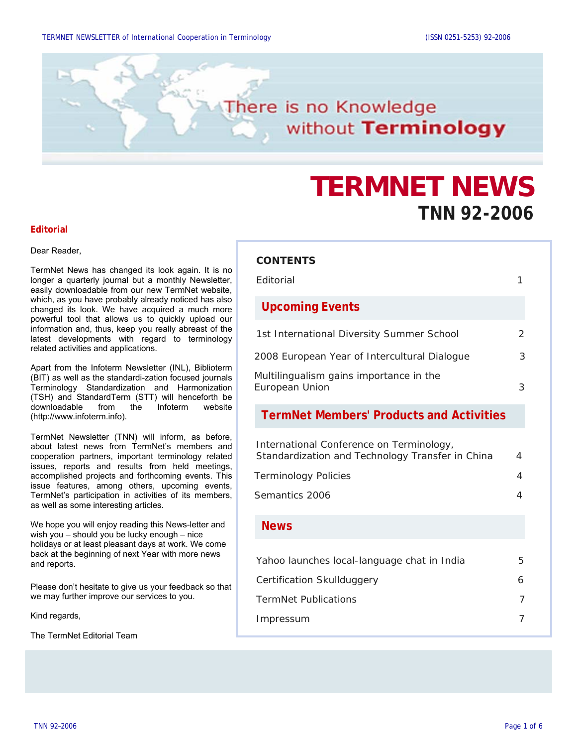

# **TERMNET NEWS TNN 92-2006**

#### **Editorial**

Dear Reader,

TermNet News has changed its look again. It is no longer a quarterly journal but a monthly Newsletter, easily downloadable from our new TermNet website, which, as you have probably already noticed has also changed its look. We have acquired a much more powerful tool that allows us to quickly upload our information and, thus, keep you really abreast of the latest developments with regard to terminology related activities and applications.

Apart from the Infoterm Newsletter (INL), Biblioterm (BIT) as well as the standardi-zation focused journals Terminology Standardization and Harmonization (TSH) and StandardTerm (STT) will henceforth be downloadable from the Infoterm website [\(http://www.infoterm.info](http://www.infoterm.info/)).

TermNet Newsletter (TNN) will inform, as before, about latest news from TermNet's members and cooperation partners, important terminology related issues, reports and results from held meetings, accomplished projects and forthcoming events. This issue features, among others, upcoming events, TermNet's participation in activities of its members, as well as some interesting articles.

We hope you will enjoy reading this News-letter and wish you – should you be lucky enough – nice holidays or at least pleasant days at work. We come back at the beginning of next Year with more news and reports.

Please don't hesitate to give us your feedback so that we may further improve our services to you.

Kind regards,

The TermNet Editorial Team

#### **CONTENTS**

| Editorial                                                                                    | 1             |
|----------------------------------------------------------------------------------------------|---------------|
| <b>Upcoming Events</b>                                                                       |               |
| 1st International Diversity Summer School                                                    | $\mathcal{P}$ |
| 2008 European Year of Intercultural Dialogue                                                 | 3             |
| Multilingualism gains importance in the<br>European Union                                    | 3             |
| <b>TermNet Members' Products and Activities</b>                                              |               |
| International Conference on Terminology,<br>Standardization and Technology Transfer in China | 4             |
| <b>Terminology Policies</b>                                                                  | 4             |
| Semantics 2006                                                                               | 4             |
| <b>News</b>                                                                                  |               |
| Yahoo launches local-language chat in India                                                  | 5             |
| Certification Skullduggery                                                                   | 6             |
| <b>TermNet Publications</b>                                                                  | 7             |
| Impressum                                                                                    | 7             |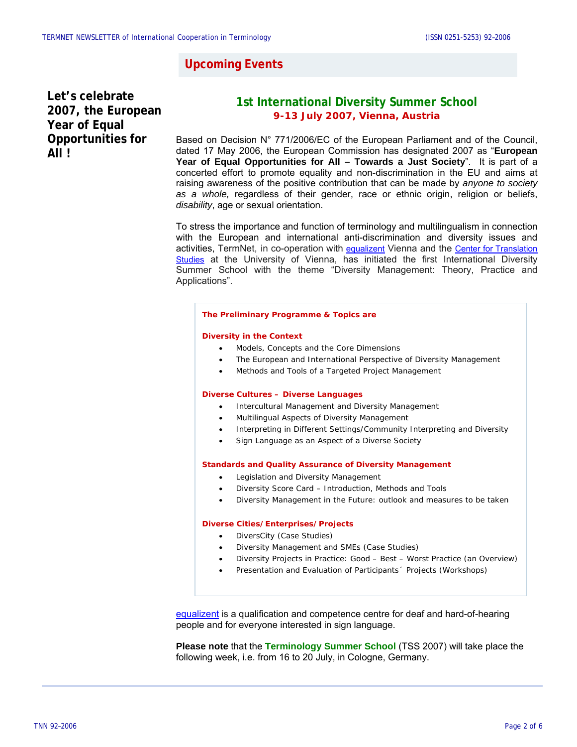### **Upcoming Events**

**Let's celebrate 2007, the European Year of Equal Opportunities for All !** 

### **1st International Diversity Summer School 9-13 July 2007, Vienna, Austria**

Based on Decision N° 771/2006/EC of the European Parliament and of the Council, dated 17 May 2006, the European Commission has designated 2007 as "**European Year of Equal Opportunities for All – Towards a Just Society**". It is part of a concerted effort to promote equality and non-discrimination in the EU and aims at raising awareness of the positive contribution that can be made by *anyone to society as a whole,* regardless of their gender, race or ethnic origin, religion or beliefs, *disability*, age or sexual orientation.

To stress the importance and function of terminology and multilingualism in connection with the European and international anti-discrimination and diversity issues and activities, TermNet, in co-operation with [equalizent](http://www.equalizent.com/) Vienna and the [Center for Translation](http://www.univie.ac.at/) [Studies](http://www.univie.ac.at/) at the University of Vienna, has initiated the first International Diversity Summer School with the theme "Diversity Management: Theory, Practice and Applications".

#### **The Preliminary Programme & Topics are**

#### **Diversity in the Context**

- Models, Concepts and the Core Dimensions
- The European and International Perspective of Diversity Management
- Methods and Tools of a Targeted Project Management

#### **Diverse Cultures – Diverse Languages**

- Intercultural Management and Diversity Management
- Multilingual Aspects of Diversity Management
- Interpreting in Different Settings/Community Interpreting and Diversity
- Sign Language as an Aspect of a Diverse Society

#### **Standards and Quality Assurance of Diversity Management**

- Legislation and Diversity Management
- Diversity Score Card Introduction, Methods and Tools
- Diversity Management in the Future: outlook and measures to be taken

#### **Diverse Cities/Enterprises/Projects**

- DiversCity (Case Studies)
- Diversity Management and SMEs (Case Studies)
- Diversity Projects in Practice: Good Best Worst Practice (an Overview)
- Presentation and Evaluation of Participants´ Projects (Workshops)

[equalizent](http://www.equalizent.com/) is a qualification and competence centre for deaf and hard-of-hearing people and for everyone interested in sign language.

**Please note** that the **Terminology Summer School** (TSS 2007) will take place the following week, i.e. from 16 to 20 July, in Cologne, Germany.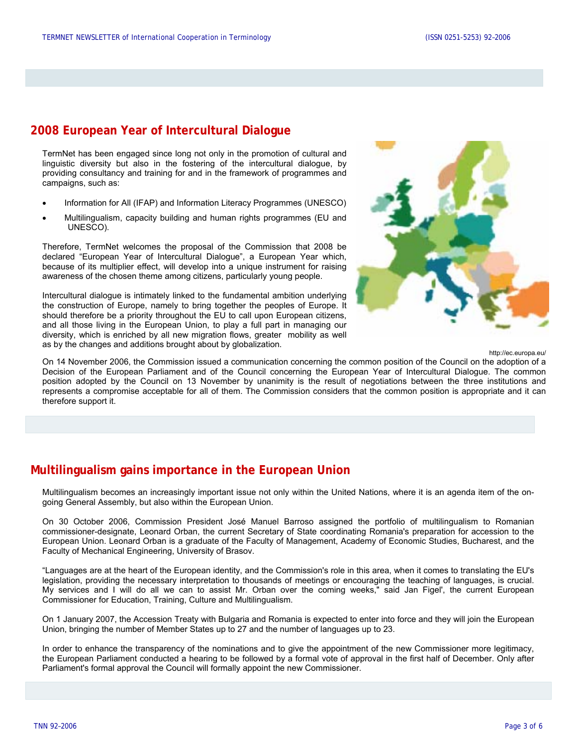### **2008 European Year of Intercultural Dialogue**

TermNet has been engaged since long not only in the promotion of cultural and linguistic diversity but also in the fostering of the intercultural dialogue, by providing consultancy and training for and in the framework of programmes and campaigns, such as:

- Information for All (IFAP) and Information Literacy Programmes (UNESCO)
- Multilingualism, capacity building and human rights programmes (EU and UNESCO).

Therefore, TermNet welcomes the proposal of the Commission that 2008 be declared "European Year of Intercultural Dialogue", a European Year which, because of its multiplier effect, will develop into a unique instrument for raising awareness of the chosen theme among citizens, particularly young people.

Intercultural dialogue is intimately linked to the fundamental ambition underlying the construction of Europe, namely to bring together the peoples of Europe. It should therefore be a priority throughout the EU to call upon European citizens, and all those living in the European Union, to play a full part in managing our diversity, which is enriched by all new migration flows, greater mobility as well as by the changes and additions brought about by globalization.



http://ec.europa.eu/

On 14 November 2006, the Commission issued a communication concerning the common position of the Council on the adoption of a Decision of the European Parliament and of the Council concerning the European Year of Intercultural Dialogue. The common position adopted by the Council on 13 November by unanimity is the result of negotiations between the three institutions and represents a compromise acceptable for all of them. The Commission considers that the common position is appropriate and it can therefore support it.

### **Multilingualism gains importance in the European Union**

Multilingualism becomes an increasingly important issue not only within the United Nations, where it is an agenda item of the ongoing General Assembly, but also within the European Union.

On 30 October 2006, Commission President José Manuel Barroso assigned the portfolio of multilingualism to Romanian commissioner-designate, Leonard Orban, the current Secretary of State coordinating Romania's preparation for accession to the European Union. Leonard Orban is a graduate of the Faculty of Management, Academy of Economic Studies, Bucharest, and the Faculty of Mechanical Engineering, University of Brasov.

"Languages are at the heart of the European identity, and the Commission's role in this area, when it comes to translating the EU's legislation, providing the necessary interpretation to thousands of meetings or encouraging the teaching of languages, is crucial. My services and I will do all we can to assist Mr. Orban over the coming weeks," said Jan Figel', the current European Commissioner for Education, Training, Culture and Multilingualism.

On 1 January 2007, the Accession Treaty with Bulgaria and Romania is expected to enter into force and they will join the European Union, bringing the number of Member States up to 27 and the number of languages up to 23.

In order to enhance the transparency of the nominations and to give the appointment of the new Commissioner more legitimacy, the European Parliament conducted a hearing to be followed by a formal vote of approval in the first half of December. Only after Parliament's formal approval the Council will formally appoint the new Commissioner.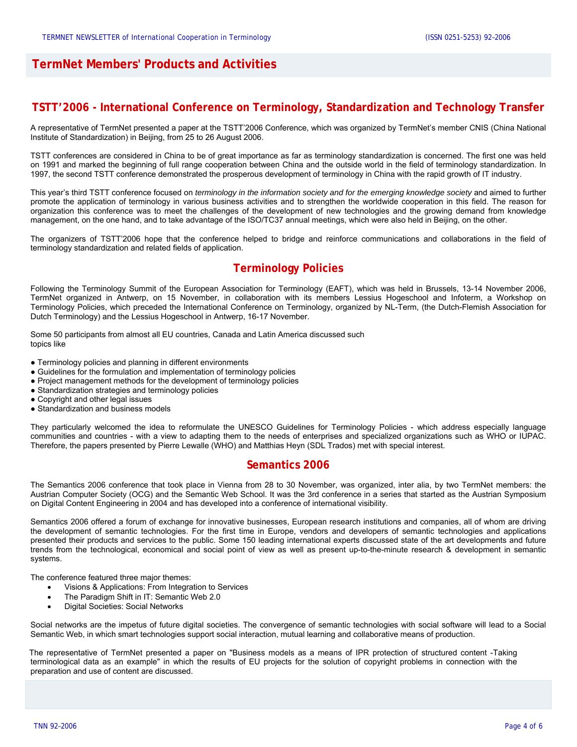### **TermNet Members' Products and Activities**

### **TSTT'2006 - International Conference on Terminology, Standardization and Technology Transfer**

A representative of TermNet presented a paper at the TSTT'2006 Conference, which was organized by TermNet's member CNIS (China National Institute of Standardization) in Beijing, from 25 to 26 August 2006.

TSTT conferences are considered in China to be of great importance as far as terminology standardization is concerned. The first one was held on 1991 and marked the beginning of full range cooperation between China and the outside world in the field of terminology standardization. In 1997, the second TSTT conference demonstrated the prosperous development of terminology in China with the rapid growth of IT industry.

This year's third TSTT conference focused on *terminology in the information society and for the emerging knowledge society* and aimed to further promote the application of terminology in various business activities and to strengthen the worldwide cooperation in this field. The reason for organization this conference was to meet the challenges of the development of new technologies and the growing demand from knowledge management, on the one hand, and to take advantage of the ISO/TC37 annual meetings, which were also held in Beijing, on the other.

The organizers of TSTT'2006 hope that the conference helped to bridge and reinforce communications and collaborations in the field of terminology standardization and related fields of application.

### **Terminology Policies**

Following the Terminology Summit of the European Association for Terminology (EAFT), which was held in Brussels, 13-14 November 2006, TermNet organized in Antwerp, on 15 November, in collaboration with its members Lessius Hogeschool and Infoterm, a Workshop on Terminology Policies, which preceded the International Conference on Terminology, organized by NL-Term, (the Dutch-Flemish Association for Dutch Terminology) and the Lessius Hogeschool in Antwerp, 16-17 November.

Some 50 participants from almost all EU countries, Canada and Latin America discussed such topics like

- Terminology policies and planning in different environments
- Guidelines for the formulation and implementation of terminology policies
- Project management methods for the development of terminology policies
- Standardization strategies and terminology policies
- Copyright and other legal issues
- Standardization and business models

They particularly welcomed the idea to reformulate the UNESCO [Guidelines for Terminology Policies](http://portal.unesco.org/ci/en/ev.php-URL_ID=20896&URL_DO=DO_TOPIC&URL_SECTION=201.html) - which address especially language communities and countries - with a view to adapting them to the needs of enterprises and specialized organizations such as WHO or IUPAC. Therefore, the papers presented by Pierre Lewalle (WHO) and Matthias Heyn (SDL Trados) met with special interest.

#### **Semantics 2006**

The Semantics 2006 conference that took place in Vienna from 28 to 30 November, was organized, inter alia, by two TermNet members: the Austrian Computer Society (OCG) and the Semantic Web School. It was the 3rd conference in a series that started as the Austrian Symposium on Digital Content Engineering in 2004 and has developed into a conference of international visibility.

Semantics 2006 offered a forum of exchange for innovative businesses, European research institutions and companies, all of whom are driving the development of semantic technologies. For the first time in Europe, vendors and developers of semantic technologies and applications presented their products and services to the public. Some 150 leading international experts discussed state of the art developments and future trends from the technological, economical and social point of view as well as present up-to-the-minute research & development in semantic systems.

The conference featured three major themes:

- Visions & Applications: From Integration to Services
- The Paradigm Shift in IT: Semantic Web 2.0
- Digital Societies: Social Networks

Social networks are the impetus of future digital societies. The convergence of semantic technologies with social software will lead to a Social Semantic Web, in which smart technologies support social interaction, mutual learning and collaborative means of production.

The representative of TermNet presented a paper on "Business models as a means of IPR protection of structured content -Taking terminological data as an example" in which the results of EU projects for the solution of copyright problems in connection with the preparation and use of content are discussed.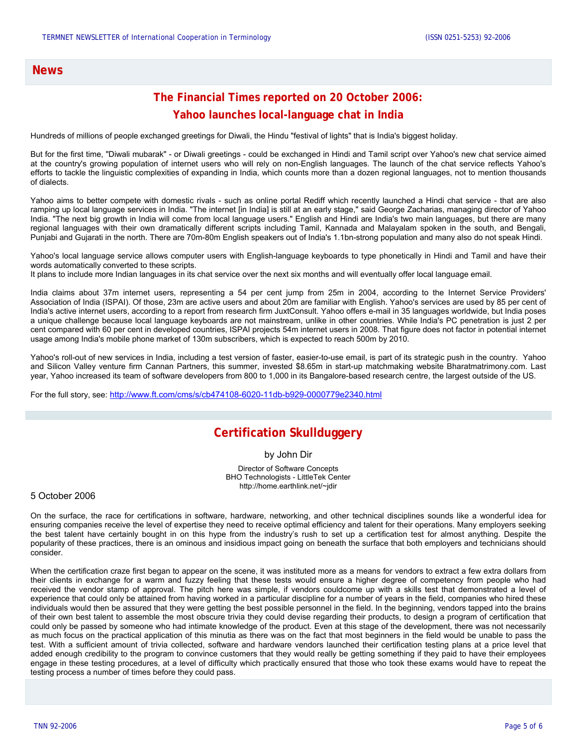#### **News**

## **The Financial Times reported on 20 October 2006: Yahoo launches local-language chat in India**

Hundreds of millions of people exchanged greetings for Diwali, the Hindu "festival of lights" that is India's biggest holiday.

But for the first time, "Diwali mubarak" - or Diwali greetings - could be exchanged in Hindi and Tamil script over Yahoo's new chat service aimed at the country's growing population of internet users who will rely on non-English languages. The launch of the chat service reflects Yahoo's efforts to tackle the linguistic complexities of expanding in India, which counts more than a dozen regional languages, not to mention thousands of dialects.

Yahoo aims to better compete with domestic rivals - such as online portal Rediff which recently launched a Hindi chat service - that are also ramping up local language services in India. "The internet [in India] is still at an early stage," said George Zacharias, managing director of Yahoo India. "The next big growth in India will come from local language users." English and Hindi are India's two main languages, but there are many regional languages with their own dramatically different scripts including Tamil, Kannada and Malayalam spoken in the south, and Bengali, Punjabi and Gujarati in the north. There are 70m-80m English speakers out of India's 1.1bn-strong population and many also do not speak Hindi.

Yahoo's local language service allows computer users with English-language keyboards to type phonetically in Hindi and Tamil and have their words automatically converted to these scripts.

It plans to include more Indian languages in its chat service over the next six months and will eventually offer local language email.

India claims about 37m internet users, representing a 54 per cent jump from 25m in 2004, according to the Internet Service Providers' Association of India (ISPAI). Of those, 23m are active users and about 20m are familiar with English. Yahoo's services are used by 85 per cent of India's active internet users, according to a report from research firm JuxtConsult. Yahoo offers e-mail in 35 languages worldwide, but India poses a unique challenge because local language keyboards are not mainstream, unlike in other countries. While India's PC penetration is just 2 per cent compared with 60 per cent in developed countries, ISPAI projects 54m internet users in 2008. That figure does not factor in potential internet usage among India's mobile phone market of 130m subscribers, which is expected to reach 500m by 2010.

Yahoo's roll-out of new services in India, including a test version of faster, easier-to-use email, is part of its strategic push in the country. Yahoo and Silicon Valley venture firm Cannan Partners, this summer, invested \$8.65m in start-up matchmaking website Bharatmatrimony.com. Last year, Yahoo increased its team of software developers from 800 to 1,000 in its Bangalore-based research centre, the largest outside of the US.

For the full story, see: <http://www.ft.com/cms/s/cb474108-6020-11db-b929-0000779e2340.html>

### **Certification Skullduggery**

by John Dir

Director of Software Concepts BHO Technologists - LittleTek Center http://home.earthlink.net/~jdir

5 October 2006

On the surface, the race for certifications in software, hardware, networking, and other technical disciplines sounds like a wonderful idea for ensuring companies receive the level of expertise they need to receive optimal efficiency and talent for their operations. Many employers seeking the best talent have certainly bought in on this hype from the industry's rush to set up a certification test for almost anything. Despite the popularity of these practices, there is an ominous and insidious impact going on beneath the surface that both employers and technicians should consider.

When the certification craze first began to appear on the scene, it was instituted more as a means for vendors to extract a few extra dollars from their clients in exchange for a warm and fuzzy feeling that these tests would ensure a higher degree of competency from people who had received the vendor stamp of approval. The pitch here was simple, if vendors couldcome up with a skills test that demonstrated a level of experience that could only be attained from having worked in a particular discipline for a number of years in the field, companies who hired these individuals would then be assured that they were getting the best possible personnel in the field. In the beginning, vendors tapped into the brains of their own best talent to assemble the most obscure trivia they could devise regarding their products, to design a program of certification that could only be passed by someone who had intimate knowledge of the product. Even at this stage of the development, there was not necessarily as much focus on the practical application of this minutia as there was on the fact that most beginners in the field would be unable to pass the test. With a sufficient amount of trivia collected, software and hardware vendors launched their certification testing plans at a price level that added enough credibility to the program to convince customers that they would really be getting something if they paid to have their employees engage in these testing procedures, at a level of difficulty which practically ensured that those who took these exams would have to repeat the testing process a number of times before they could pass.